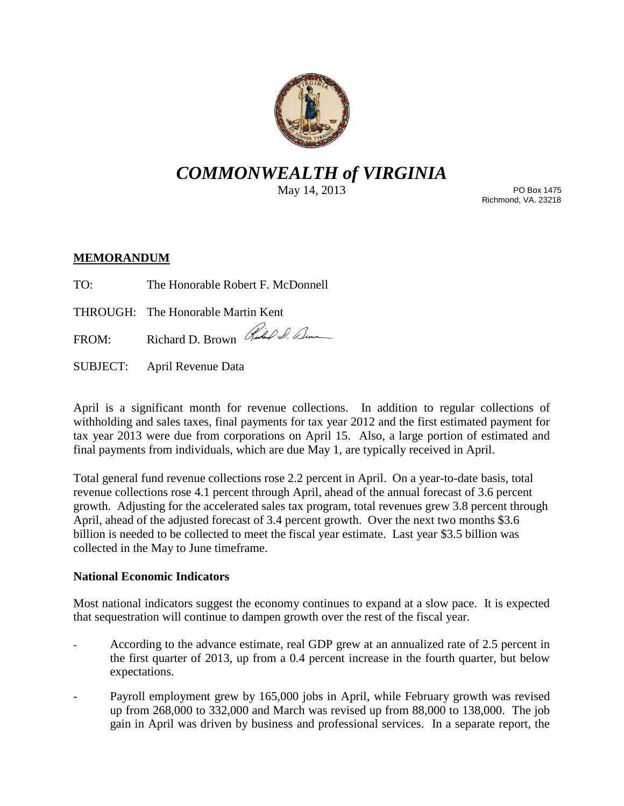

# *COMMONWEALTH of VIRGINIA*

May 14, 2013

PO Box 1475 Richmond, VA. 23218

## **MEMORANDUM**

TO: The Honorable Robert F. McDonnell

THROUGH: The Honorable Martin Kent

FROM: Richard D. Brown Rubel S. Denne

SUBJECT: April Revenue Data

April is a significant month for revenue collections. In addition to regular collections of withholding and sales taxes, final payments for tax year 2012 and the first estimated payment for tax year 2013 were due from corporations on April 15. Also, a large portion of estimated and final payments from individuals, which are due May 1, are typically received in April.

Total general fund revenue collections rose 2.2 percent in April. On a year-to-date basis, total revenue collections rose 4.1 percent through April, ahead of the annual forecast of 3.6 percent growth. Adjusting for the accelerated sales tax program, total revenues grew 3.8 percent through April, ahead of the adjusted forecast of 3.4 percent growth. Over the next two months \$3.6 billion is needed to be collected to meet the fiscal year estimate. Last year \$3.5 billion was collected in the May to June timeframe.

## **National Economic Indicators**

Most national indicators suggest the economy continues to expand at a slow pace. It is expected that sequestration will continue to dampen growth over the rest of the fiscal year.

- According to the advance estimate, real GDP grew at an annualized rate of 2.5 percent in the first quarter of 2013, up from a 0.4 percent increase in the fourth quarter, but below expectations.
- Payroll employment grew by 165,000 jobs in April, while February growth was revised up from 268,000 to 332,000 and March was revised up from 88,000 to 138,000. The job gain in April was driven by business and professional services. In a separate report, the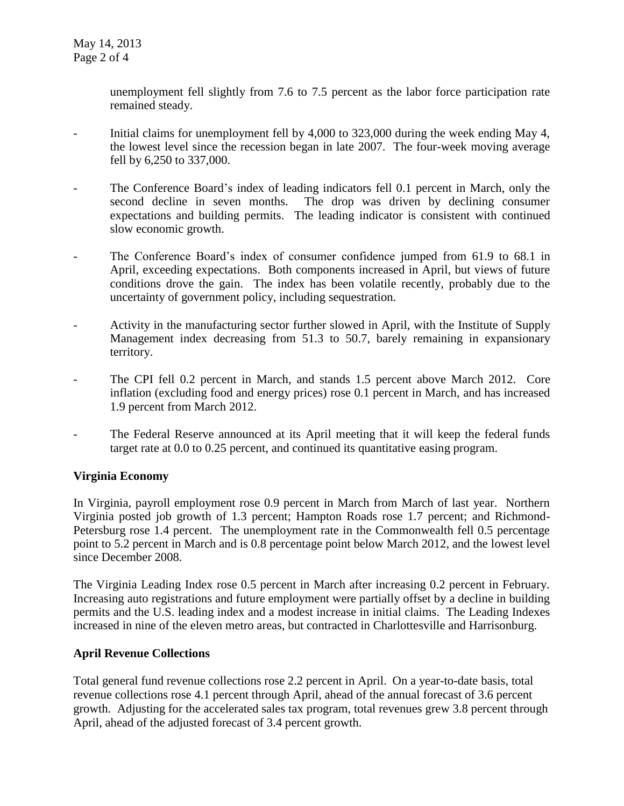unemployment fell slightly from 7.6 to 7.5 percent as the labor force participation rate remained steady.

- Initial claims for unemployment fell by 4,000 to 323,000 during the week ending May 4, the lowest level since the recession began in late 2007. The four-week moving average fell by 6,250 to 337,000.
- The Conference Board's index of leading indicators fell 0.1 percent in March, only the second decline in seven months. The drop was driven by declining consumer expectations and building permits. The leading indicator is consistent with continued slow economic growth.
- The Conference Board's index of consumer confidence jumped from 61.9 to 68.1 in April, exceeding expectations. Both components increased in April, but views of future conditions drove the gain. The index has been volatile recently, probably due to the uncertainty of government policy, including sequestration.
- Activity in the manufacturing sector further slowed in April, with the Institute of Supply Management index decreasing from 51.3 to 50.7, barely remaining in expansionary territory.
- The CPI fell 0.2 percent in March, and stands 1.5 percent above March 2012. Core inflation (excluding food and energy prices) rose 0.1 percent in March, and has increased 1.9 percent from March 2012.
- The Federal Reserve announced at its April meeting that it will keep the federal funds target rate at 0.0 to 0.25 percent, and continued its quantitative easing program.

## **Virginia Economy**

In Virginia, payroll employment rose 0.9 percent in March from March of last year. Northern Virginia posted job growth of 1.3 percent; Hampton Roads rose 1.7 percent; and Richmond-Petersburg rose 1.4 percent. The unemployment rate in the Commonwealth fell 0.5 percentage point to 5.2 percent in March and is 0.8 percentage point below March 2012, and the lowest level since December 2008.

The Virginia Leading Index rose 0.5 percent in March after increasing 0.2 percent in February. Increasing auto registrations and future employment were partially offset by a decline in building permits and the U.S. leading index and a modest increase in initial claims. The Leading Indexes increased in nine of the eleven metro areas, but contracted in Charlottesville and Harrisonburg.

#### **April Revenue Collections**

Total general fund revenue collections rose 2.2 percent in April. On a year-to-date basis, total revenue collections rose 4.1 percent through April, ahead of the annual forecast of 3.6 percent growth. Adjusting for the accelerated sales tax program, total revenues grew 3.8 percent through April, ahead of the adjusted forecast of 3.4 percent growth.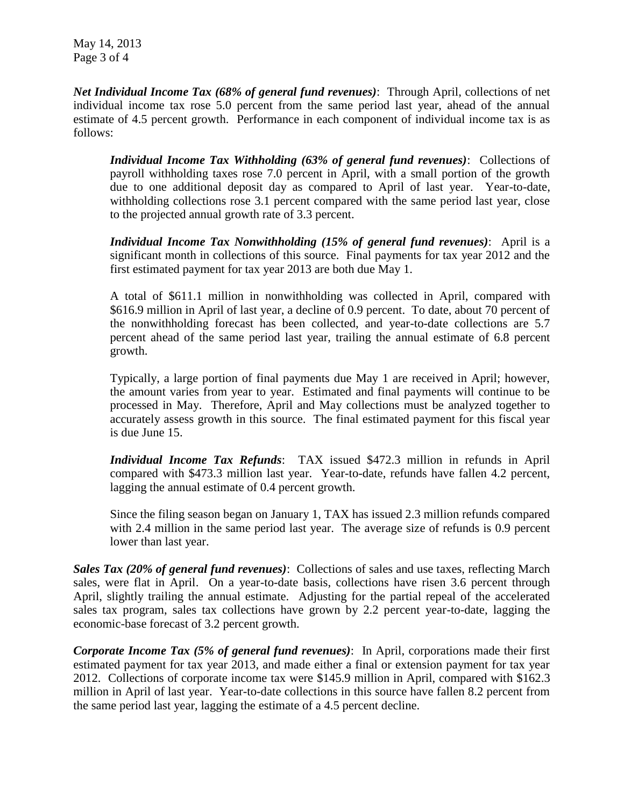May 14, 2013 Page 3 of 4

*Net Individual Income Tax (68% of general fund revenues)*: Through April, collections of net individual income tax rose 5.0 percent from the same period last year, ahead of the annual estimate of 4.5 percent growth. Performance in each component of individual income tax is as follows:

*Individual Income Tax Withholding (63% of general fund revenues)*: Collections of payroll withholding taxes rose 7.0 percent in April, with a small portion of the growth due to one additional deposit day as compared to April of last year. Year-to-date, withholding collections rose 3.1 percent compared with the same period last year, close to the projected annual growth rate of 3.3 percent.

*Individual Income Tax Nonwithholding (15% of general fund revenues)*: April is a significant month in collections of this source. Final payments for tax year 2012 and the first estimated payment for tax year 2013 are both due May 1.

A total of \$611.1 million in nonwithholding was collected in April, compared with \$616.9 million in April of last year, a decline of 0.9 percent. To date, about 70 percent of the nonwithholding forecast has been collected, and year-to-date collections are 5.7 percent ahead of the same period last year, trailing the annual estimate of 6.8 percent growth.

Typically, a large portion of final payments due May 1 are received in April; however, the amount varies from year to year. Estimated and final payments will continue to be processed in May. Therefore, April and May collections must be analyzed together to accurately assess growth in this source. The final estimated payment for this fiscal year is due June 15.

*Individual Income Tax Refunds*: TAX issued \$472.3 million in refunds in April compared with \$473.3 million last year. Year-to-date, refunds have fallen 4.2 percent, lagging the annual estimate of 0.4 percent growth.

Since the filing season began on January 1, TAX has issued 2.3 million refunds compared with 2.4 million in the same period last year. The average size of refunds is 0.9 percent lower than last year.

*Sales Tax (20% of general fund revenues)*: Collections of sales and use taxes, reflecting March sales, were flat in April. On a year-to-date basis, collections have risen 3.6 percent through April, slightly trailing the annual estimate. Adjusting for the partial repeal of the accelerated sales tax program, sales tax collections have grown by 2.2 percent year-to-date, lagging the economic-base forecast of 3.2 percent growth.

*Corporate Income Tax (5% of general fund revenues)*: In April, corporations made their first estimated payment for tax year 2013, and made either a final or extension payment for tax year 2012. Collections of corporate income tax were \$145.9 million in April, compared with \$162.3 million in April of last year. Year-to-date collections in this source have fallen 8.2 percent from the same period last year, lagging the estimate of a 4.5 percent decline.